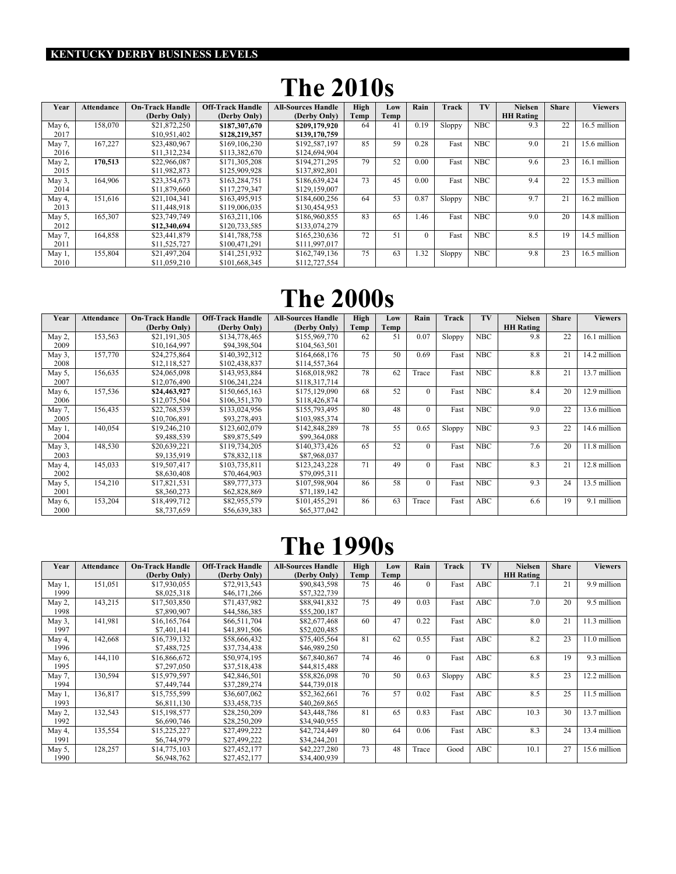#### KENTUCKY DERBY BUSINESS LEVELS

## The 2010s

| Year   | <b>Attendance</b> | <b>On-Track Handle</b> | <b>Off-Track Handle</b> | All-Sources Handle | High | Low  | Rain     | Track  | TV         | <b>Nielsen</b>   | <b>Share</b> | Viewers      |
|--------|-------------------|------------------------|-------------------------|--------------------|------|------|----------|--------|------------|------------------|--------------|--------------|
|        |                   | (Derby Only)           | (Derby Only)            | (Derby Only)       | Temp | Temp |          |        |            | <b>HH Rating</b> |              |              |
| May 6, | 158,070           | \$21,872,250           | \$187,307,670           | \$209,179,920      | 64   | 41   | 0.19     | Sloppy | <b>NBC</b> | 9.3              | 22           | 16.5 million |
| 2017   |                   | \$10,951,402           | \$128,219,357           | \$139,170,759      |      |      |          |        |            |                  |              |              |
| May 7, | 167,227           | \$23,480,967           | \$169,106,230           | \$192,587,197      | 85   | 59   | 0.28     | Fast   | <b>NBC</b> | 9.0              | 21           | 15.6 million |
| 2016   |                   | \$11,312,234           | \$113.382,670           | \$124,694,904      |      |      |          |        |            |                  |              |              |
| May 2, | 170,513           | \$22,966,087           | \$171,305,208           | \$194.271.295      | 79   | 52   | 0.00     | Fast   | <b>NBC</b> | 9.6              | 23           | 16.1 million |
| 2015   |                   | \$11,982,873           | \$125,909,928           | \$137,892,801      |      |      |          |        |            |                  |              |              |
| May 3, | 164,906           | \$23,354,673           | \$163,284,751           | \$186,639,424      | 73   | 45   | 0.00     | Fast   | <b>NBC</b> | 9.4              | 22           | 15.3 million |
| 2014   |                   | \$11,879,660           | \$117,279,347           | \$129,159,007      |      |      |          |        |            |                  |              |              |
| May 4, | 151,616           | \$21,104,341           | \$163,495,915           | \$184,600,256      | 64   | 53   | 0.87     | Sloppy | <b>NBC</b> | 9.7              | 21           | 16.2 million |
| 2013   |                   | \$11,448,918           | \$119,006,035           | \$130,454,953      |      |      |          |        |            |                  |              |              |
| May 5, | 165,307           | \$23,749,749           | \$163,211,106           | \$186,960,855      | 83   | 65   | 1.46     | Fast   | <b>NBC</b> | 9.0              | 20           | 14.8 million |
| 2012   |                   | \$12,340,694           | \$120,733,585           | \$133,074,279      |      |      |          |        |            |                  |              |              |
| May 7, | 164,858           | \$23,441,879           | \$141,788,758           | \$165,230,636      | 72   | 51   | $\Omega$ | Fast   | <b>NBC</b> | 8.5              | 19           | 14.5 million |
| 2011   |                   | \$11,525,727           | \$100,471,291           | \$111,997,017      |      |      |          |        |            |                  |              |              |
| May 1, | 155,804           | \$21,497,204           | \$141,251,932           | \$162,749,136      | 75   | 63   | 1.32     | Sloppy | <b>NBC</b> | 9.8              | 23           | 16.5 million |
| 2010   |                   | \$11.059.210           | \$101.668.345           | \$112,727,554      |      |      |          |        |            |                  |              |              |

### The 2000s

| Year   | <b>Attendance</b> | <b>On-Track Handle</b> | <b>Off-Track Handle</b> | <b>All-Sources Handle</b> | <b>High</b> | Low  | Rain     | Track  | TV         | <b>Nielsen</b>   | <b>Share</b> | <b>Viewers</b> |
|--------|-------------------|------------------------|-------------------------|---------------------------|-------------|------|----------|--------|------------|------------------|--------------|----------------|
|        |                   | (Derby Only)           | (Derby Only)            | (Derby Only)              | Temp        | Temp |          |        |            | <b>HH</b> Rating |              |                |
| May 2, | 153,563           | \$21.191.305           | \$134,778,465           | \$155,969,770             | 62          | 51   | 0.07     | Sloppy | <b>NBC</b> | 9.8              | 22           | 16.1 million   |
| 2009   |                   | \$10,164,997           | \$94,398,504            | \$104,563,501             |             |      |          |        |            |                  |              |                |
| May 3, | 157,770           | \$24,275,864           | \$140,392,312           | \$164,668,176             | 75          | 50   | 0.69     | Fast   | <b>NBC</b> | 8.8              | 21           | 14.2 million   |
| 2008   |                   | \$12,118,527           | \$102,438,837           | \$114,557,364             |             |      |          |        |            |                  |              |                |
| May 5, | 156,635           | \$24,065,098           | \$143,953,884           | \$168,018,982             | 78          | 62   | Trace    | Fast   | <b>NBC</b> | 8.8              | 21           | 13.7 million   |
| 2007   |                   | \$12,076,490           | \$106,241,224           | \$118,317,714             |             |      |          |        |            |                  |              |                |
| May 6, | 157,536           | \$24,463,927           | \$150,665,163           | \$175,129,090             | 68          | 52   | $\Omega$ | Fast   | <b>NBC</b> | 8.4              | 20           | 12.9 million   |
| 2006   |                   | \$12,075,504           | \$106,351,370           | \$118,426,874             |             |      |          |        |            |                  |              |                |
| May 7, | 156,435           | \$22,768,539           | \$133,024,956           | \$155,793,495             | 80          | 48   | $\Omega$ | Fast   | <b>NBC</b> | 90               | 22           | 13.6 million   |
| 2005   |                   | \$10,706,891           | \$93,278,493            | \$103,985,374             |             |      |          |        |            |                  |              |                |
| May 1, | 140,054           | \$19,246,210           | \$123,602,079           | \$142,848,289             | 78          | 55   | 0.65     | Sloppy | <b>NBC</b> | 9.3              | 22           | 14.6 million   |
| 2004   |                   | \$9,488,539            | \$89,875,549            | \$99,364,088              |             |      |          |        |            |                  |              |                |
| May 3, | 148,530           | \$20,639,221           | \$119,734,205           | \$140,373,426             | 65          | 52   | $\Omega$ | Fast   | <b>NBC</b> | 7.6              | 20           | 11.8 million   |
| 2003   |                   | \$9,135,919            | \$78,832,118            | \$87,968,037              |             |      |          |        |            |                  |              |                |
| May 4, | 145,033           | \$19,507,417           | \$103,735,811           | \$123,243,228             | 71          | 49   | $\theta$ | Fast   | <b>NBC</b> | 8.3              | 21           | 12.8 million   |
| 2002   |                   | \$8,630,408            | \$70,464,903            | \$79,095,311              |             |      |          |        |            |                  |              |                |
| May 5, | 154,210           | \$17,821,531           | \$89,777,373            | \$107,598,904             | 86          | 58   | $\Omega$ | Fast   | <b>NBC</b> | 9.3              | 24           | 13.5 million   |
| 2001   |                   | \$8,360,273            | \$62,828,869            | \$71,189,142              |             |      |          |        |            |                  |              |                |
| May 6, | 153,204           | \$18,499,712           | \$82,955,579            | \$101,455,291             | 86          | 63   | Trace    | Fast   | ABC        | 6.6              | 19           | 9.1 million    |
| 2000   |                   | \$8,737,659            | \$56,639,383            | \$65,377,042              |             |      |          |        |            |                  |              |                |

#### The 1990s

| Year      | <b>Attendance</b> | <b>On-Track Handle</b> | <b>Off-Track Handle</b> | <b>All-Sources Handle</b> | High | Low  | Rain     | Track  | TV         | <b>Nielsen</b>   | <b>Share</b> | <b>Viewers</b> |
|-----------|-------------------|------------------------|-------------------------|---------------------------|------|------|----------|--------|------------|------------------|--------------|----------------|
|           |                   | (Derby Only)           | (Derby Only)            | (Derby Only)              | Temp | Temp |          |        |            | <b>HH Rating</b> |              |                |
| May 1,    | 151,051           | \$17,930,055           | \$72,913,543            | \$90,843,598              | 75   | 46   | $\Omega$ | Fast   | ABC        | 7.1              | 21           | 9.9 million    |
| 1999      |                   | \$8,025,318            | \$46,171,266            | \$57,322,739              |      |      |          |        |            |                  |              |                |
| May 2,    | 143,215           | \$17,503,850           | \$71,437,982            | \$88,941,832              | 75   | 49   | 0.03     | Fast   | <b>ABC</b> | 7.0              | 20           | 9.5 million    |
| 1998      |                   | \$7,890,907            | \$44,586,385            | \$55,200,187              |      |      |          |        |            |                  |              |                |
| May $3$ , | 141.981           | \$16,165,764           | \$66,511,704            | \$82,677,468              | 60   | 47   | 0.22     | Fast   | ABC        | 8.0              | 21           | 11.3 million   |
| 1997      |                   | \$7,401,141            | \$41,891,506            | \$52,020,485              |      |      |          |        |            |                  |              |                |
| May 4,    | 142.668           | \$16,739,132           | \$58,666,432            | \$75,405,564              | 81   | 62   | 0.55     | Fast   | ABC        | 8.2              | 23           | 11.0 million   |
| 1996      |                   | \$7,488,725            | \$37,734,438            | \$46,989,250              |      |      |          |        |            |                  |              |                |
| May 6,    | 144,110           | \$16,866,672           | \$50,974,195            | \$67,840,867              | 74   | 46   | $\Omega$ | Fast   | ABC        | 6.8              | 19           | 9.3 million    |
| 1995      |                   | \$7,297,050            | \$37,518,438            | \$44,815,488              |      |      |          |        |            |                  |              |                |
| May 7.    | 130,594           | \$15,979,597           | \$42,846,501            | \$58,826,098              | 70   | 50   | 0.63     | Sloppy | ABC        | 8.5              | 23           | 12.2 million   |
| 1994      |                   | \$7,449,744            | \$37,289,274            | \$44,739,018              |      |      |          |        |            |                  |              |                |
| May $1$ , | 136,817           | \$15,755,599           | \$36,607,062            | \$52,362,661              | 76   | 57   | 0.02     | Fast   | ABC        | 8.5              | 25           | 11.5 million   |
| 1993      |                   | \$6,811,130            | \$33,458,735            | \$40,269,865              |      |      |          |        |            |                  |              |                |
| May 2,    | 132,543           | \$15,198,577           | \$28,250,209            | \$43,448,786              | 81   | 65   | 0.83     | Fast   | ABC        | 10.3             | 30           | 13.7 million   |
| 1992      |                   | \$6,690,746            | \$28,250,209            | \$34,940,955              |      |      |          |        |            |                  |              |                |
| May 4,    | 135,554           | \$15,225,227           | \$27,499,222            | \$42,724,449              | 80   | 64   | 0.06     | Fast   | ABC        | 8.3              | 24           | 13.4 million   |
| 1991      |                   | \$6,744,979            | \$27,499,222            | \$34,244,201              |      |      |          |        |            |                  |              |                |
| May 5,    | 128,257           | \$14,775,103           | \$27,452,177            | \$42,227,280              | 73   | 48   | Trace    | Good   | <b>ABC</b> | 10.1             | 27           | 15.6 million   |
| 1990      |                   | \$6,948,762            | \$27,452,177            | \$34,400,939              |      |      |          |        |            |                  |              |                |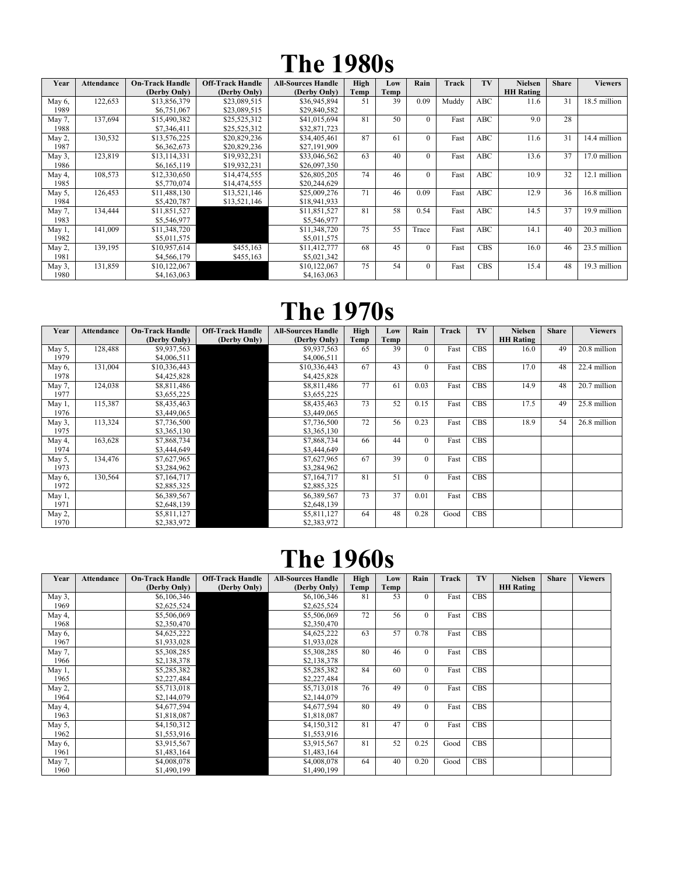# The 1980s

| Year              | <b>Attendance</b> | <b>On-Track Handle</b><br>(Derby Only) | <b>Off-Track Handle</b><br>(Derby Only) | <b>All-Sources Handle</b><br>(Derby Only) | High<br>Temp | Low<br>Temp | Rain     | Track | TV         | <b>Nielsen</b><br><b>HH</b> Rating | <b>Share</b> | <b>Viewers</b> |
|-------------------|-------------------|----------------------------------------|-----------------------------------------|-------------------------------------------|--------------|-------------|----------|-------|------------|------------------------------------|--------------|----------------|
| May 6,<br>1989    | 122,653           | \$13,856,379<br>\$6,751,067            | \$23,089,515<br>\$23,089,515            | \$36,945,894<br>\$29,840,582              | 51           | 39          | 0.09     | Muddy | ABC        | 11.6                               | 31           | 18.5 million   |
| May 7,<br>1988    | 137,694           | \$15,490,382<br>\$7,346,411            | \$25,525,312<br>\$25,525,312            | \$41,015,694<br>\$32,871,723              | 81           | 50          | $\Omega$ | Fast  | <b>ABC</b> | 90                                 | 28           |                |
| May 2,<br>1987    | 130,532           | \$13,576,225<br>\$6,362,673            | \$20,829,236<br>\$20,829,236            | \$34,405,461<br>\$27,191,909              | 87           | 61          | $\theta$ | Fast  | ABC        | 11.6                               | 31           | 14.4 million   |
| May $3$ ,<br>1986 | 123,819           | \$13,114,331<br>\$6,165,119            | \$19,932,231<br>\$19,932,231            | \$33,046,562<br>\$26,097,350              | 63           | 40          | $\theta$ | Fast  | ABC        | 13.6                               | 37           | 17.0 million   |
| May 4,<br>1985    | 108,573           | \$12,330,650<br>\$5,770,074            | \$14,474,555<br>\$14,474,555            | \$26,805,205<br>\$20,244,629              | 74           | 46          | $\Omega$ | Fast  | ABC        | 10.9                               | 32           | 12.1 million   |
| May 5,<br>1984    | 126,453           | \$11,488,130<br>\$5,420,787            | \$13,521,146<br>\$13,521,146            | \$25,009,276<br>\$18,941,933              | 71           | 46          | 0.09     | Fast  | ABC        | 12.9                               | 36           | 16.8 million   |
| May 7,<br>1983    | 134,444           | \$11,851,527<br>\$5,546,977            |                                         | \$11,851,527<br>\$5,546,977               | 81           | 58          | 0.54     | Fast  | ABC        | 14.5                               | 37           | 19.9 million   |
| May $1$ ,<br>1982 | 141.009           | \$11,348,720<br>\$5,011,575            |                                         | \$11.348.720<br>\$5,011,575               | 75           | 55          | Trace    | Fast  | <b>ABC</b> | 14.1                               | 40           | 20.3 million   |
| May 2,<br>1981    | 139,195           | \$10,957,614<br>\$4,566,179            | \$455,163<br>\$455,163                  | \$11,412,777<br>\$5,021,342               | 68           | 45          | 0        | Fast  | <b>CBS</b> | 16.0                               | 46           | 23.5 million   |
| May $3$ ,<br>1980 | 131,859           | \$10,122,067<br>\$4,163,063            |                                         | \$10,122,067<br>\$4,163,063               | 75           | 54          | $\Omega$ | Fast  | <b>CBS</b> | 15.4                               | 48           | 19.3 million   |

#### The 1970s

| Year      | <b>Attendance</b> | <b>On-Track Handle</b> | <b>Off-Track Handle</b> | <b>All-Sources Handle</b> | High | Low  | Rain         | Track | TV         | <b>Nielsen</b>   | <b>Share</b> | <b>Viewers</b> |
|-----------|-------------------|------------------------|-------------------------|---------------------------|------|------|--------------|-------|------------|------------------|--------------|----------------|
|           |                   | (Derby Only)           | (Derby Only)            | (Derby Only)              | Temp | Temp |              |       |            | <b>HH</b> Rating |              |                |
| May 5,    | 128,488           | \$9,937,563            |                         | \$9,937,563               | 65   | 39   | $\mathbf{0}$ | Fast  | <b>CBS</b> | 16.0             | 49           | 20.8 million   |
| 1979      |                   | \$4,006,511            |                         | \$4,006,511               |      |      |              |       |            |                  |              |                |
| May 6,    | 131,004           | \$10,336,443           |                         | \$10,336,443              | 67   | 43   | $\Omega$     | Fast  | <b>CBS</b> | 17.0             | 48           | 22.4 million   |
| 1978      |                   | \$4,425,828            |                         | \$4,425,828               |      |      |              |       |            |                  |              |                |
| May 7,    | 124,038           | \$8,811,486            |                         | \$8,811,486               | 77   | 61   | 0.03         | Fast  | <b>CBS</b> | 14.9             | 48           | 20.7 million   |
| 1977      |                   | \$3,655,225            |                         | \$3,655,225               |      |      |              |       |            |                  |              |                |
| May 1,    | 115,387           | \$8,435,463            |                         | \$8,435,463               | 73   | 52   | 0.15         | Fast  | <b>CBS</b> | 17.5             | 49           | 25.8 million   |
| 1976      |                   | \$3,449,065            |                         | \$3,449,065               |      |      |              |       |            |                  |              |                |
| May 3,    | 113,324           | \$7,736,500            |                         | \$7,736,500               | 72   | 56   | 0.23         | Fast  | <b>CBS</b> | 18.9             | 54           | 26.8 million   |
| 1975      |                   | \$3,365,130            |                         | \$3,365,130               |      |      |              |       |            |                  |              |                |
| May 4,    | 163,628           | \$7,868,734            |                         | \$7,868,734               | 66   | 44   | $\Omega$     | Fast  | <b>CBS</b> |                  |              |                |
| 1974      |                   | \$3,444,649            |                         | \$3,444,649               |      |      |              |       |            |                  |              |                |
| May 5,    | 134,476           | \$7,627,965            |                         | \$7,627,965               | 67   | 39   | $\Omega$     | Fast  | <b>CBS</b> |                  |              |                |
| 1973      |                   | \$3,284,962            |                         | \$3,284,962               |      |      |              |       |            |                  |              |                |
| May 6,    | 130,564           | \$7,164,717            |                         | \$7,164,717               | 81   | 51   | $\Omega$     | Fast  | <b>CBS</b> |                  |              |                |
| 1972      |                   | \$2,885,325            |                         | \$2,885,325               |      |      |              |       |            |                  |              |                |
| May $1$ , |                   | \$6,389,567            |                         | \$6,389,567               | 73   | 37   | 0.01         | Fast  | <b>CBS</b> |                  |              |                |
| 1971      |                   | \$2,648,139            |                         | \$2,648,139               |      |      |              |       |            |                  |              |                |
| May 2,    |                   | \$5,811,127            |                         | \$5,811,127               | 64   | 48   | 0.28         | Good  | <b>CBS</b> |                  |              |                |
| 1970      |                   | \$2,383,972            |                         | \$2,383,972               |      |      |              |       |            |                  |              |                |

# The 1960s

| Year   | <b>Attendance</b> | <b>On-Track Handle</b><br>(Derby Only) | <b>Off-Track Handle</b><br>(Derby Only) | <b>All-Sources Handle</b><br>(Derby Only) | High<br>Temp | Low<br>Temp | Rain         | Track | TV         | <b>Nielsen</b><br><b>HH</b> Rating | <b>Share</b> | <b>Viewers</b> |
|--------|-------------------|----------------------------------------|-----------------------------------------|-------------------------------------------|--------------|-------------|--------------|-------|------------|------------------------------------|--------------|----------------|
| May 3, |                   | \$6,106,346                            |                                         | \$6,106,346                               | 81           | 53          | $\theta$     | Fast  | <b>CBS</b> |                                    |              |                |
| 1969   |                   | \$2,625,524                            |                                         | \$2,625,524                               |              |             |              |       |            |                                    |              |                |
| May 4, |                   | \$5,506,069                            |                                         | \$5,506,069                               | 72           | 56          | $\theta$     | Fast  | <b>CBS</b> |                                    |              |                |
| 1968   |                   | \$2,350,470                            |                                         | \$2,350,470                               |              |             |              |       |            |                                    |              |                |
| May 6, |                   | \$4,625,222                            |                                         | \$4,625,222                               | 63           | 57          | 0.78         | Fast  | <b>CBS</b> |                                    |              |                |
| 1967   |                   | \$1,933,028                            |                                         | \$1,933,028                               |              |             |              |       |            |                                    |              |                |
| May 7, |                   | \$5,308,285                            |                                         | \$5,308,285                               | 80           | 46          | $\mathbf{0}$ | Fast  | <b>CBS</b> |                                    |              |                |
| 1966   |                   | \$2,138,378                            |                                         | \$2,138,378                               |              |             |              |       |            |                                    |              |                |
| May 1, |                   | \$5,285,382                            |                                         | \$5,285,382                               | 84           | 60          | $\Omega$     | Fast  | <b>CBS</b> |                                    |              |                |
| 1965   |                   | \$2,227,484                            |                                         | \$2,227,484                               |              |             |              |       |            |                                    |              |                |
| May 2, |                   | \$5,713,018                            |                                         | \$5,713,018                               | 76           | 49          | $\Omega$     | Fast  | <b>CBS</b> |                                    |              |                |
| 1964   |                   | \$2,144,079                            |                                         | \$2,144,079                               |              |             |              |       |            |                                    |              |                |
| May 4, |                   | \$4,677,594                            |                                         | \$4,677,594                               | 80           | 49          | $\mathbf{0}$ | Fast  | <b>CBS</b> |                                    |              |                |
| 1963   |                   | \$1,818,087                            |                                         | \$1,818,087                               |              |             |              |       |            |                                    |              |                |
| May 5, |                   | \$4,150,312                            |                                         | \$4,150,312                               | 81           | 47          | $\Omega$     | Fast  | <b>CBS</b> |                                    |              |                |
| 1962   |                   | \$1,553,916                            |                                         | \$1,553,916                               |              |             |              |       |            |                                    |              |                |
| May 6, |                   | \$3,915,567                            |                                         | \$3,915,567                               | 81           | 52          | 0.25         | Good  | <b>CBS</b> |                                    |              |                |
| 1961   |                   | \$1,483,164                            |                                         | \$1,483,164                               |              |             |              |       |            |                                    |              |                |
| May 7, |                   | \$4,008,078                            |                                         | \$4,008,078                               | 64           | 40          | 0.20         | Good  | <b>CBS</b> |                                    |              |                |
| 1960   |                   | \$1,490,199                            |                                         | \$1,490,199                               |              |             |              |       |            |                                    |              |                |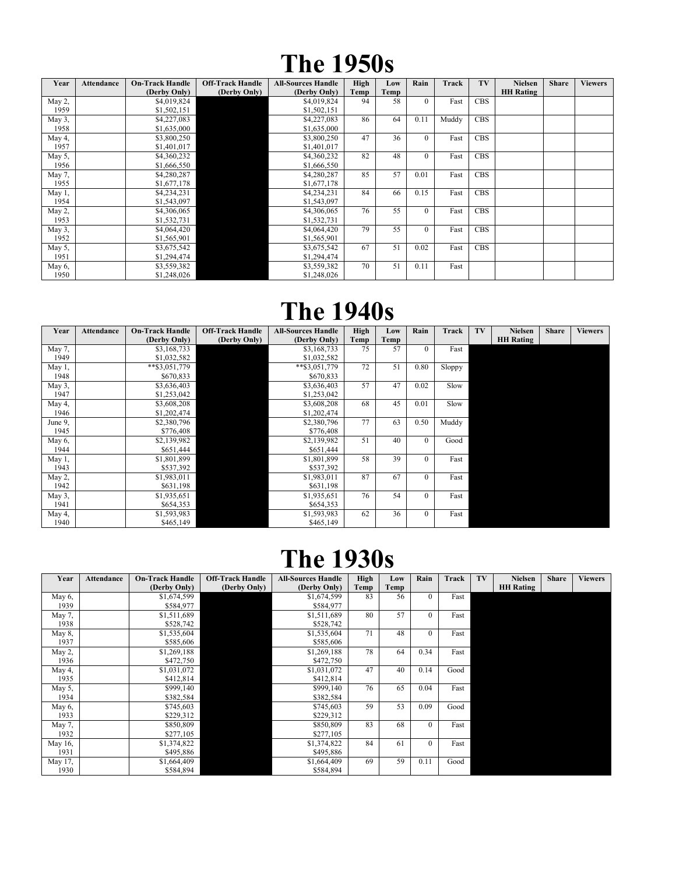## The 1950s

| Year      | <b>Attendance</b> | <b>On-Track Handle</b> | <b>Off-Track Handle</b> | <b>All-Sources Handle</b> | High | Low  | Rain         | Track | TV         | <b>Nielsen</b>   | <b>Share</b> | <b>Viewers</b> |
|-----------|-------------------|------------------------|-------------------------|---------------------------|------|------|--------------|-------|------------|------------------|--------------|----------------|
|           |                   | (Derby Only)           | (Derby Only)            | (Derby Only)              | Temp | Temp |              |       |            | <b>HH</b> Rating |              |                |
| May 2,    |                   | \$4,019,824            |                         | \$4,019,824               | 94   | 58   | $\mathbf{0}$ | Fast  | <b>CBS</b> |                  |              |                |
| 1959      |                   | \$1,502,151            |                         | \$1,502,151               |      |      |              |       |            |                  |              |                |
| May 3,    |                   | \$4,227,083            |                         | \$4,227,083               | 86   | 64   | 0.11         | Muddy | <b>CBS</b> |                  |              |                |
| 1958      |                   | \$1,635,000            |                         | \$1,635,000               |      |      |              |       |            |                  |              |                |
| May 4,    |                   | \$3,800,250            |                         | \$3,800,250               | 47   | 36   | $\mathbf{0}$ | Fast  | <b>CBS</b> |                  |              |                |
| 1957      |                   | \$1,401,017            |                         | \$1,401,017               |      |      |              |       |            |                  |              |                |
| May $5$ , |                   | \$4,360,232            |                         | \$4,360,232               | 82   | 48   | $\mathbf{0}$ | Fast  | <b>CBS</b> |                  |              |                |
| 1956      |                   | \$1,666,550            |                         | \$1,666,550               |      |      |              |       |            |                  |              |                |
| May 7,    |                   | \$4,280,287            |                         | \$4,280,287               | 85   | 57   | 0.01         | Fast  | <b>CBS</b> |                  |              |                |
| 1955      |                   | \$1,677,178            |                         | \$1,677,178               |      |      |              |       |            |                  |              |                |
| May $1$ , |                   | \$4,234,231            |                         | \$4,234,231               | 84   | 66   | 0.15         | Fast  | <b>CBS</b> |                  |              |                |
| 1954      |                   | \$1,543,097            |                         | \$1,543,097               |      |      |              |       |            |                  |              |                |
| May 2,    |                   | \$4,306,065            |                         | \$4,306,065               | 76   | 55   | $\mathbf{0}$ | Fast  | <b>CBS</b> |                  |              |                |
| 1953      |                   | \$1,532,731            |                         | \$1,532,731               |      |      |              |       |            |                  |              |                |
| May 3,    |                   | \$4,064,420            |                         | \$4,064,420               | 79   | 55   | $\Omega$     | Fast  | <b>CBS</b> |                  |              |                |
| 1952      |                   | \$1,565,901            |                         | \$1,565,901               |      |      |              |       |            |                  |              |                |
| May 5,    |                   | \$3,675,542            |                         | \$3,675,542               | 67   | 51   | 0.02         | Fast  | <b>CBS</b> |                  |              |                |
| 1951      |                   | \$1,294,474            |                         | \$1,294,474               |      |      |              |       |            |                  |              |                |
| May $6$ , |                   | \$3,559,382            |                         | \$3,559,382               | 70   | 51   | 0.11         | Fast  |            |                  |              |                |
| 1950      |                   | \$1,248,026            |                         | \$1,248,026               |      |      |              |       |            |                  |              |                |

#### The 1940s

| Year    | <b>Attendance</b> | <b>On-Track Handle</b> | <b>Off-Track Handle</b> | <b>All-Sources Handle</b> | High | Low  | Rain         | Track  | TV | <b>Nielsen</b>   | <b>Share</b> | <b>Viewers</b> |
|---------|-------------------|------------------------|-------------------------|---------------------------|------|------|--------------|--------|----|------------------|--------------|----------------|
|         |                   | (Derby Only)           | (Derby Only)            | (Derby Only)              | Temp | Temp |              |        |    | <b>HH</b> Rating |              |                |
| May 7,  |                   | \$3,168,733            |                         | \$3,168,733               | 75   | 57   | $\theta$     | Fast   |    |                  |              |                |
| 1949    |                   | \$1,032,582            |                         | \$1,032,582               |      |      |              |        |    |                  |              |                |
| May 1,  |                   | **\$3,051,779          |                         | **\$3,051,779             | 72   | 51   | 0.80         | Sloppy |    |                  |              |                |
| 1948    |                   | \$670,833              |                         | \$670,833                 |      |      |              |        |    |                  |              |                |
| May 3,  |                   | \$3,636,403            |                         | \$3,636,403               | 57   | 47   | 0.02         | Slow   |    |                  |              |                |
| 1947    |                   | \$1,253,042            |                         | \$1,253,042               |      |      |              |        |    |                  |              |                |
| May 4,  |                   | \$3,608,208            |                         | \$3,608,208               | 68   | 45   | 0.01         | Slow   |    |                  |              |                |
| 1946    |                   | \$1,202,474            |                         | \$1,202,474               |      |      |              |        |    |                  |              |                |
| June 9, |                   | \$2,380,796            |                         | \$2,380,796               | 77   | 63   | 0.50         | Muddy  |    |                  |              |                |
| 1945    |                   | \$776,408              |                         | \$776,408                 |      |      |              |        |    |                  |              |                |
| May 6,  |                   | \$2,139,982            |                         | \$2,139,982               | 51   | 40   | $\mathbf{0}$ | Good   |    |                  |              |                |
| 1944    |                   | \$651,444              |                         | \$651,444                 |      |      |              |        |    |                  |              |                |
| May 1,  |                   | \$1,801,899            |                         | \$1,801,899               | 58   | 39   | $\mathbf{0}$ | Fast   |    |                  |              |                |
| 1943    |                   | \$537,392              |                         | \$537,392                 |      |      |              |        |    |                  |              |                |
| May 2,  |                   | \$1,983,011            |                         | \$1,983,011               | 87   | 67   | $\theta$     | Fast   |    |                  |              |                |
| 1942    |                   | \$631,198              |                         | \$631,198                 |      |      |              |        |    |                  |              |                |
| May 3,  |                   | \$1,935,651            |                         | \$1,935,651               | 76   | 54   | $\Omega$     | Fast   |    |                  |              |                |
| 1941    |                   | \$654,353              |                         | \$654,353                 |      |      |              |        |    |                  |              |                |
| May 4,  |                   | \$1,593,983            |                         | \$1,593,983               | 62   | 36   | $\mathbf{0}$ | Fast   |    |                  |              |                |
| 1940    |                   | \$465,149              |                         | \$465,149                 |      |      |              |        |    |                  |              |                |

## The 1930s

| Year      | <b>Attendance</b> | <b>On-Track Handle</b> | <b>Off-Track Handle</b> | <b>All-Sources Handle</b> | High | Low  | Rain           | Track | TV | <b>Nielsen</b>   | <b>Share</b> | <b>Viewers</b> |
|-----------|-------------------|------------------------|-------------------------|---------------------------|------|------|----------------|-------|----|------------------|--------------|----------------|
|           |                   | (Derby Only)           | (Derby Only)            | (Derby Only)              | Temp | Temp |                |       |    | <b>HH Rating</b> |              |                |
| May 6,    |                   | \$1,674,599            |                         | \$1,674,599               | 83   | 56   | $\Omega$       | Fast  |    |                  |              |                |
| 1939      |                   | \$584,977              |                         | \$584,977                 |      |      |                |       |    |                  |              |                |
| May 7,    |                   | \$1,511,689            |                         | \$1,511,689               | 80   | 57   | $\overline{0}$ | Fast  |    |                  |              |                |
| 1938      |                   | \$528,742              |                         | \$528,742                 |      |      |                |       |    |                  |              |                |
| May $8$ , |                   | \$1,535,604            |                         | \$1,535,604               | 71   | 48   | $\Omega$       | Fast  |    |                  |              |                |
| 1937      |                   | \$585,606              |                         | \$585,606                 |      |      |                |       |    |                  |              |                |
| May 2,    |                   | \$1,269,188            |                         | \$1,269,188               | 78   | 64   | 0.34           | Fast  |    |                  |              |                |
| 1936      |                   | \$472,750              |                         | \$472,750                 |      |      |                |       |    |                  |              |                |
| May 4,    |                   | \$1,031,072            |                         | \$1,031,072               | 47   | 40   | 0.14           | Good  |    |                  |              |                |
| 1935      |                   | \$412,814              |                         | \$412,814                 |      |      |                |       |    |                  |              |                |
| May $5$ , |                   | \$999,140              |                         | \$999,140                 | 76   | 65   | 0.04           | Fast  |    |                  |              |                |
| 1934      |                   | \$382,584              |                         | \$382,584                 |      |      |                |       |    |                  |              |                |
| May 6,    |                   | \$745,603              |                         | \$745,603                 | 59   | 53   | 0.09           | Good  |    |                  |              |                |
| 1933      |                   | \$229,312              |                         | \$229,312                 |      |      |                |       |    |                  |              |                |
| May 7,    |                   | \$850,809              |                         | \$850,809                 | 83   | 68   | $\Omega$       | Fast  |    |                  |              |                |
| 1932      |                   | \$277,105              |                         | \$277,105                 |      |      |                |       |    |                  |              |                |
| May 16,   |                   | \$1,374,822            |                         | \$1,374,822               | 84   | 61   | $\theta$       | Fast  |    |                  |              |                |
| 1931      |                   | \$495,886              |                         | \$495,886                 |      |      |                |       |    |                  |              |                |
| May 17,   |                   | \$1,664,409            |                         | \$1,664,409               | 69   | 59   | 0.11           | Good  |    |                  |              |                |
| 1930      |                   | \$584,894              |                         | \$584,894                 |      |      |                |       |    |                  |              |                |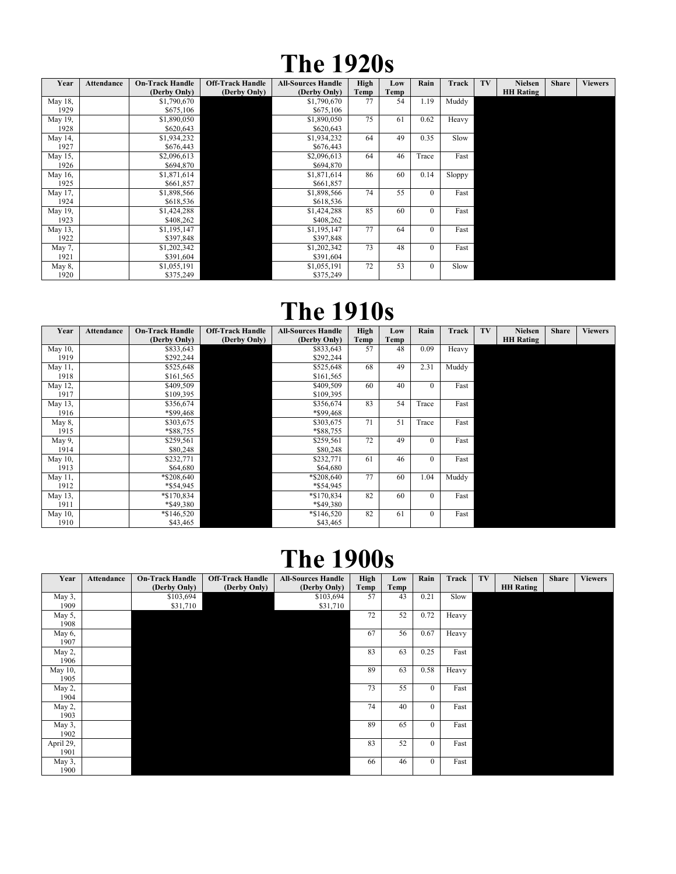## The 1920s

| Year    | <b>Attendance</b> | <b>On-Track Handle</b> | <b>Off-Track Handle</b> | <b>All-Sources Handle</b> | High | Low  | Rain     | Track  | TV | <b>Nielsen</b>   | <b>Share</b> | <b>Viewers</b> |
|---------|-------------------|------------------------|-------------------------|---------------------------|------|------|----------|--------|----|------------------|--------------|----------------|
|         |                   | (Derby Only)           | (Derby Only)            | (Derby Only)              | Temp | Temp |          |        |    | <b>HH</b> Rating |              |                |
| May 18, |                   | \$1,790,670            |                         | \$1,790,670               | 77   | 54   | 1.19     | Muddy  |    |                  |              |                |
| 1929    |                   | \$675,106              |                         | \$675,106                 |      |      |          |        |    |                  |              |                |
| May 19, |                   | \$1,890,050            |                         | \$1,890,050               | 75   | 61   | 0.62     | Heavy  |    |                  |              |                |
| 1928    |                   | \$620,643              |                         | \$620,643                 |      |      |          |        |    |                  |              |                |
| May 14, |                   | \$1,934,232            |                         | \$1,934,232               | 64   | 49   | 0.35     | Slow   |    |                  |              |                |
| 1927    |                   | \$676,443              |                         | \$676,443                 |      |      |          |        |    |                  |              |                |
| May 15, |                   | \$2,096,613            |                         | \$2,096,613               | 64   | 46   | Trace    | Fast   |    |                  |              |                |
| 1926    |                   | \$694,870              |                         | \$694,870                 |      |      |          |        |    |                  |              |                |
| May 16, |                   | \$1,871,614            |                         | \$1,871,614               | 86   | 60   | 0.14     | Sloppy |    |                  |              |                |
| 1925    |                   | \$661,857              |                         | \$661,857                 |      |      |          |        |    |                  |              |                |
| May 17, |                   | \$1,898,566            |                         | \$1,898,566               | 74   | 55   | $\Omega$ | Fast   |    |                  |              |                |
| 1924    |                   | \$618,536              |                         | \$618,536                 |      |      |          |        |    |                  |              |                |
| May 19, |                   | \$1,424,288            |                         | \$1,424,288               | 85   | 60   | $\theta$ | Fast   |    |                  |              |                |
| 1923    |                   | \$408,262              |                         | \$408,262                 |      |      |          |        |    |                  |              |                |
| May 13, |                   | \$1,195,147            |                         | \$1,195,147               | 77   | 64   | $\Omega$ | Fast   |    |                  |              |                |
| 1922    |                   | \$397,848              |                         | \$397,848                 |      |      |          |        |    |                  |              |                |
| May 7,  |                   | \$1,202,342            |                         | \$1,202,342               | 73   | 48   | $\Omega$ | Fast   |    |                  |              |                |
| 1921    |                   | \$391,604              |                         | \$391,604                 |      |      |          |        |    |                  |              |                |
| May 8,  |                   | \$1,055,191            |                         | \$1,055,191               | 72   | 53   | $\theta$ | Slow   |    |                  |              |                |
| 1920    |                   | \$375,249              |                         | \$375,249                 |      |      |          |        |    |                  |              |                |

## The 1910s

| Year    | <b>Attendance</b> | <b>On-Track Handle</b> | <b>Off-Track Handle</b> | <b>All-Sources Handle</b> | High | Low  | Rain           | Track | TV | <b>Nielsen</b>   | <b>Share</b> | <b>Viewers</b> |
|---------|-------------------|------------------------|-------------------------|---------------------------|------|------|----------------|-------|----|------------------|--------------|----------------|
|         |                   | (Derby Only)           | (Derby Only)            | (Derby Only)              | Temp | Temp |                |       |    | <b>HH Rating</b> |              |                |
| May 10, |                   | \$833,643              |                         | \$833,643                 | 57   | 48   | 0.09           | Heavy |    |                  |              |                |
| 1919    |                   | \$292,244              |                         | \$292,244                 |      |      |                |       |    |                  |              |                |
| May 11, |                   | \$525,648              |                         | \$525,648                 | 68   | 49   | 2.31           | Muddy |    |                  |              |                |
| 1918    |                   | \$161,565              |                         | \$161,565                 |      |      |                |       |    |                  |              |                |
| May 12, |                   | \$409,509              |                         | \$409,509                 | 60   | 40   | $\theta$       | Fast  |    |                  |              |                |
| 1917    |                   | \$109,395              |                         | \$109,395                 |      |      |                |       |    |                  |              |                |
| May 13, |                   | \$356,674              |                         | \$356,674                 | 83   | 54   | Trace          | Fast  |    |                  |              |                |
| 1916    |                   | *\$99,468              |                         | *\$99,468                 |      |      |                |       |    |                  |              |                |
| May 8,  |                   | \$303,675              |                         | \$303,675                 | 71   | 51   | Trace          | Fast  |    |                  |              |                |
| 1915    |                   | *\$88,755              |                         | *\$88,755                 |      |      |                |       |    |                  |              |                |
| May 9,  |                   | \$259,561              |                         | \$259,561                 | 72   | 49   | $\Omega$       | Fast  |    |                  |              |                |
| 1914    |                   | \$80,248               |                         | \$80,248                  |      |      |                |       |    |                  |              |                |
| May 10, |                   | \$232,771              |                         | \$232,771                 | 61   | 46   | $\mathbf{0}$   | Fast  |    |                  |              |                |
| 1913    |                   | \$64,680               |                         | \$64,680                  |      |      |                |       |    |                  |              |                |
| May 11, |                   | *\$208,640             |                         | *\$208,640                | 77   | 60   | 1.04           | Muddy |    |                  |              |                |
| 1912    |                   | *\$54,945              |                         | *\$54,945                 |      |      |                |       |    |                  |              |                |
| May 13, |                   | *\$170,834             |                         | *\$170,834                | 82   | 60   | $\Omega$       | Fast  |    |                  |              |                |
| 1911    |                   | *\$49,380              |                         | *\$49,380                 |      |      |                |       |    |                  |              |                |
| May 10, |                   | $*\$146,520$           |                         | $*\$146,520$              | 82   | 61   | $\overline{0}$ | Fast  |    |                  |              |                |
| 1910    |                   | \$43,465               |                         | \$43,465                  |      |      |                |       |    |                  |              |                |

## The 1900s

| Year      | Attendance | <b>On-Track Handle</b> | <b>Off-Track Handle</b> | <b>All-Sources Handle</b> | High | Low  | Rain           | Track | TV | <b>Nielsen</b>   | <b>Share</b> | <b>Viewers</b> |
|-----------|------------|------------------------|-------------------------|---------------------------|------|------|----------------|-------|----|------------------|--------------|----------------|
|           |            | (Derby Only)           | (Derby Only)            | (Derby Only)              | Temp | Temp |                |       |    | <b>HH Rating</b> |              |                |
| May 3,    |            | \$103,694              |                         | \$103,694                 | 57   | 43   | 0.21           | Slow  |    |                  |              |                |
| 1909      |            | \$31,710               |                         | \$31,710                  |      |      |                |       |    |                  |              |                |
| May 5,    |            |                        |                         |                           | 72   | 52   | 0.72           | Heavy |    |                  |              |                |
| 1908      |            |                        |                         |                           |      |      |                |       |    |                  |              |                |
| May 6,    |            |                        |                         |                           | 67   | 56   | 0.67           | Heavy |    |                  |              |                |
| 1907      |            |                        |                         |                           |      |      |                |       |    |                  |              |                |
| May 2,    |            |                        |                         |                           | 83   | 63   | 0.25           | Fast  |    |                  |              |                |
| 1906      |            |                        |                         |                           |      |      |                |       |    |                  |              |                |
| May 10,   |            |                        |                         |                           | 89   | 63   | 0.58           | Heavy |    |                  |              |                |
| 1905      |            |                        |                         |                           |      |      |                |       |    |                  |              |                |
| May 2,    |            |                        |                         |                           | 73   | 55   | $\theta$       | Fast  |    |                  |              |                |
| 1904      |            |                        |                         |                           |      |      |                |       |    |                  |              |                |
| May 2,    |            |                        |                         |                           | 74   | 40   | $\overline{0}$ | Fast  |    |                  |              |                |
| 1903      |            |                        |                         |                           |      |      |                |       |    |                  |              |                |
| May 3,    |            |                        |                         |                           | 89   | 65   | $\theta$       | Fast  |    |                  |              |                |
| 1902      |            |                        |                         |                           |      |      |                |       |    |                  |              |                |
| April 29, |            |                        |                         |                           | 83   | 52   | $\overline{0}$ | Fast  |    |                  |              |                |
| 1901      |            |                        |                         |                           |      |      |                |       |    |                  |              |                |
| May 3,    |            |                        |                         |                           | 66   | 46   | $\Omega$       | Fast  |    |                  |              |                |
| 1900      |            |                        |                         |                           |      |      |                |       |    |                  |              |                |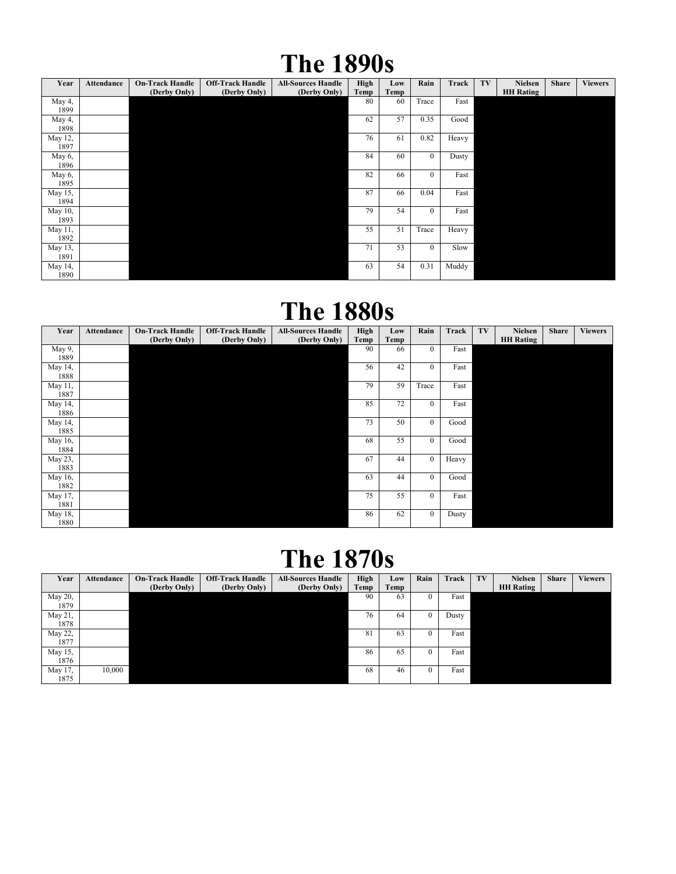## The 1890s

| Year       | Attendance | <b>On-Track Handle</b><br>(Derby Only) | <b>Off-Track Handle</b><br>(Derby Only) | <b>All-Sources Handle</b><br>(Derby Only) | High<br>Temp | Low<br>Temp | Rain           | Track | TV | <b>Nielsen</b><br><b>HH</b> Rating | <b>Share</b> | <b>Viewers</b> |
|------------|------------|----------------------------------------|-----------------------------------------|-------------------------------------------|--------------|-------------|----------------|-------|----|------------------------------------|--------------|----------------|
|            |            |                                        |                                         |                                           | 80           |             | Trace          | Fast  |    |                                    |              |                |
| May 4,     |            |                                        |                                         |                                           |              | 60          |                |       |    |                                    |              |                |
| 1899       |            |                                        |                                         |                                           |              |             |                |       |    |                                    |              |                |
| May 4,     |            |                                        |                                         |                                           | 62           | 57          | 0.35           | Good  |    |                                    |              |                |
| 1898       |            |                                        |                                         |                                           |              |             |                |       |    |                                    |              |                |
| May 12,    |            |                                        |                                         |                                           | 76           | 61          | 0.82           | Heavy |    |                                    |              |                |
| 1897       |            |                                        |                                         |                                           |              |             |                |       |    |                                    |              |                |
| May 6,     |            |                                        |                                         |                                           | 84           | 60          | $\overline{0}$ | Dusty |    |                                    |              |                |
| 1896       |            |                                        |                                         |                                           |              |             |                |       |    |                                    |              |                |
| May 6,     |            |                                        |                                         |                                           | 82           | 66          | $\mathbf{0}$   | Fast  |    |                                    |              |                |
| 1895       |            |                                        |                                         |                                           |              |             |                |       |    |                                    |              |                |
| May 15,    |            |                                        |                                         |                                           | 87           | 66          | 0.04           | Fast  |    |                                    |              |                |
| 1894       |            |                                        |                                         |                                           |              |             |                |       |    |                                    |              |                |
| May 10,    |            |                                        |                                         |                                           | 79           | 54          | $\mathbf{0}$   | Fast  |    |                                    |              |                |
| 1893       |            |                                        |                                         |                                           |              |             |                |       |    |                                    |              |                |
| May 11,    |            |                                        |                                         |                                           | 55           | 51          | Trace          | Heavy |    |                                    |              |                |
| 1892       |            |                                        |                                         |                                           |              |             |                |       |    |                                    |              |                |
| May 13,    |            |                                        |                                         |                                           | 71           | 53          | $\theta$       | Slow  |    |                                    |              |                |
| 1891       |            |                                        |                                         |                                           |              |             |                |       |    |                                    |              |                |
| May $14$ , |            |                                        |                                         |                                           | 63           | 54          | 0.31           | Muddy |    |                                    |              |                |
| 1890       |            |                                        |                                         |                                           |              |             |                |       |    |                                    |              |                |

#### The 1880s

| Year    | Attendance | <b>On-Track Handle</b><br>(Derby Only) | <b>Off-Track Handle</b><br>(Derby Only) | <b>All-Sources Handle</b><br>(Derby Only) | High<br>Temp | Low<br>Temp | Rain           | Track | TV | <b>Nielsen</b><br><b>HH Rating</b> | <b>Share</b> | <b>Viewers</b> |
|---------|------------|----------------------------------------|-----------------------------------------|-------------------------------------------|--------------|-------------|----------------|-------|----|------------------------------------|--------------|----------------|
| May 9,  |            |                                        |                                         |                                           | 90           | 66          | $\Omega$       | Fast  |    |                                    |              |                |
| 1889    |            |                                        |                                         |                                           |              |             |                |       |    |                                    |              |                |
| May 14, |            |                                        |                                         |                                           | 56           | 42          | $\overline{0}$ | Fast  |    |                                    |              |                |
| 1888    |            |                                        |                                         |                                           |              |             |                |       |    |                                    |              |                |
| May 11, |            |                                        |                                         |                                           | 79           | 59          | Trace          | Fast  |    |                                    |              |                |
| 1887    |            |                                        |                                         |                                           |              |             |                |       |    |                                    |              |                |
| May 14, |            |                                        |                                         |                                           | 85           | 72          | $\overline{0}$ | Fast  |    |                                    |              |                |
| 1886    |            |                                        |                                         |                                           |              |             |                |       |    |                                    |              |                |
| May 14, |            |                                        |                                         |                                           | 73           | 50          | $\theta$       | Good  |    |                                    |              |                |
| 1885    |            |                                        |                                         |                                           |              |             |                |       |    |                                    |              |                |
| May 16, |            |                                        |                                         |                                           | 68           | 55          | $\Omega$       | Good  |    |                                    |              |                |
| 1884    |            |                                        |                                         |                                           |              |             |                |       |    |                                    |              |                |
| May 23, |            |                                        |                                         |                                           | 67           | 44          | $\overline{0}$ | Heavy |    |                                    |              |                |
| 1883    |            |                                        |                                         |                                           |              |             |                |       |    |                                    |              |                |
| May 16, |            |                                        |                                         |                                           | 63           | 44          | $\Omega$       | Good  |    |                                    |              |                |
| 1882    |            |                                        |                                         |                                           |              |             |                |       |    |                                    |              |                |
| May 17, |            |                                        |                                         |                                           | 75           | 55          | $\Omega$       | Fast  |    |                                    |              |                |
| 1881    |            |                                        |                                         |                                           |              |             |                |       |    |                                    |              |                |
| May 18, |            |                                        |                                         |                                           | 86           | 62          | $\mathbf{0}$   | Dusty |    |                                    |              |                |
| 1880    |            |                                        |                                         |                                           |              |             |                |       |    |                                    |              |                |

## The 1870s

| Year    | Attendance | <b>On-Track Handle</b> | <b>Off-Track Handle</b> | <b>All-Sources Handle</b> | High | Low  | Rain | Track | TV | <b>Nielsen</b>   | <b>Share</b> | <b>Viewers</b> |
|---------|------------|------------------------|-------------------------|---------------------------|------|------|------|-------|----|------------------|--------------|----------------|
|         |            | (Derby Only)           | (Derby Only)            | (Derby Only)              | Temp | Temp |      |       |    | <b>HH Rating</b> |              |                |
| May 20, |            |                        |                         |                           | 90   | 63   |      | Fast  |    |                  |              |                |
| 1879    |            |                        |                         |                           |      |      |      |       |    |                  |              |                |
| May 21, |            |                        |                         |                           | 76   | 64   |      | Dusty |    |                  |              |                |
| 1878    |            |                        |                         |                           |      |      |      |       |    |                  |              |                |
| May 22, |            |                        |                         |                           | 81   | 63   |      | Fast  |    |                  |              |                |
| 1877    |            |                        |                         |                           |      |      |      |       |    |                  |              |                |
| May 15, |            |                        |                         |                           | 86   | 65   |      | Fast  |    |                  |              |                |
| 1876    |            |                        |                         |                           |      |      |      |       |    |                  |              |                |
| May 17, | 10,000     |                        |                         |                           | 68   | 46   |      | Fast  |    |                  |              |                |
| 1875    |            |                        |                         |                           |      |      |      |       |    |                  |              |                |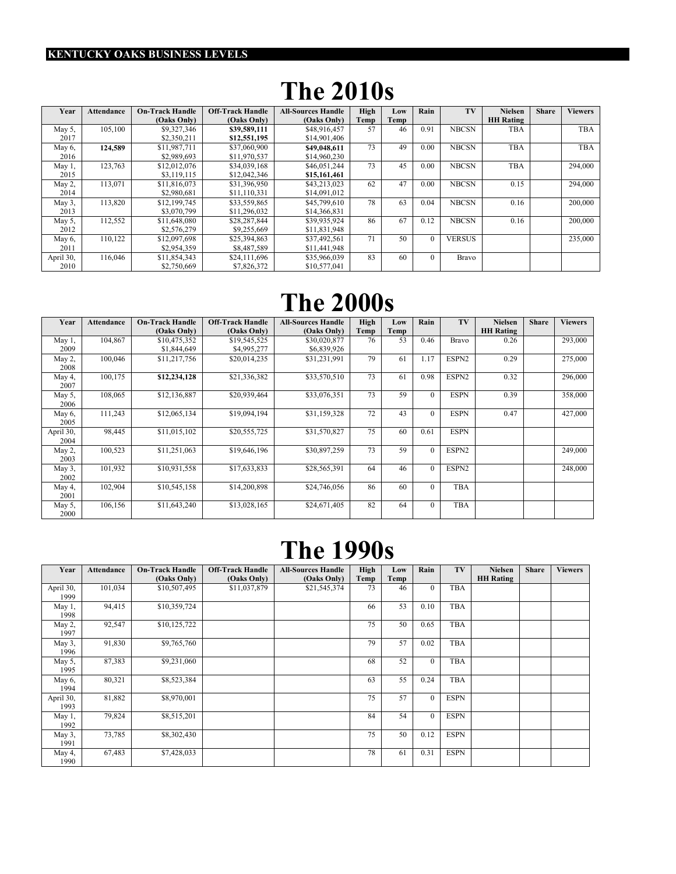#### KENTUCKY OAKS BUSINESS LEVELS

## The 2010s

| Year      | Attendance | <b>On-Track Handle</b> | <b>Off-Track Handle</b> | <b>All-Sources Handle</b> | High | Low  | Rain     | TV            | <b>Nielsen</b>   | <b>Share</b> | <b>Viewers</b> |
|-----------|------------|------------------------|-------------------------|---------------------------|------|------|----------|---------------|------------------|--------------|----------------|
|           |            | (Oaks Only)            | (Oaks Only)             | (Oaks Only)               | Temp | Temp |          |               | <b>HH Rating</b> |              |                |
| May 5.    | 105,100    | \$9,327,346            | \$39,589,111            | \$48,916,457              | 57   | 46   | 0.91     | <b>NBCSN</b>  | <b>TBA</b>       |              | <b>TBA</b>     |
| 2017      |            | \$2,350,211            | \$12,551,195            | \$14,901,406              |      |      |          |               |                  |              |                |
| May 6.    | 124.589    | \$11.987.711           | \$37,060,900            | \$49,048,611              | 73   | 49   | 0.00     | <b>NBCSN</b>  | <b>TBA</b>       |              | <b>TBA</b>     |
| 2016      |            | \$2,989.693            | \$11.970.537            | \$14,960,230              |      |      |          |               |                  |              |                |
| May 1     | 123,763    | \$12,012,076           | \$34,039,168            | \$46,051,244              | 73   | 45   | 0.00     | <b>NBCSN</b>  | <b>TBA</b>       |              | 294,000        |
| 2015      |            | \$3,119,115            | \$12,042,346            | \$15,161,461              |      |      |          |               |                  |              |                |
| May 2.    | 113,071    | \$11,816,073           | \$31,396,950            | \$43,213,023              | 62   | 47   | 0.00     | <b>NBCSN</b>  | 0.15             |              | 294,000        |
| 2014      |            | \$2,980,681            | \$11,110,331            | \$14,091,012              |      |      |          |               |                  |              |                |
| May 3,    | 113,820    | \$12,199,745           | \$33,559,865            | \$45,799,610              | 78   | 63   | 0.04     | <b>NBCSN</b>  | 0.16             |              | 200,000        |
| 2013      |            | \$3,070,799            | \$11,296,032            | \$14,366,831              |      |      |          |               |                  |              |                |
| May 5,    | 112,552    | \$11,648,080           | \$28,287,844            | \$39,935,924              | 86   | 67   | 0.12     | <b>NBCSN</b>  | 0.16             |              | 200,000        |
| 2012      |            | \$2,576,279            | \$9,255,669             | \$11,831,948              |      |      |          |               |                  |              |                |
| May 6,    | 110.122    | \$12,097.698           | \$25,394,863            | \$37,492,561              | 71   | 50   | $\Omega$ | <b>VERSUS</b> |                  |              | 235,000        |
| 2011      |            | \$2,954,359            | \$8,487,589             | \$11,441,948              |      |      |          |               |                  |              |                |
| April 30, | 116,046    | \$11,854,343           | \$24,111,696            | \$35,966,039              | 83   | 60   | $\Omega$ | <b>Bravo</b>  |                  |              |                |
| 2010      |            | \$2,750,669            | \$7,826,372             | \$10,577,041              |      |      |          |               |                  |              |                |

#### The 2000s

| Year              | <b>Attendance</b> | <b>On-Track Handle</b><br>(Oaks Only) | <b>Off-Track Handle</b><br>(Oaks Only) | <b>All-Sources Handle</b><br>(Oaks Only) | High<br>Temp | Low<br>Temp | Rain         | TV           | <b>Nielsen</b><br><b>HH</b> Rating | <b>Share</b> | <b>Viewers</b> |
|-------------------|-------------------|---------------------------------------|----------------------------------------|------------------------------------------|--------------|-------------|--------------|--------------|------------------------------------|--------------|----------------|
| May 1,<br>2009    | 104,867           | \$10,475,352<br>\$1,844,649           | \$19,545,525<br>\$4,995,277            | \$30,020,877<br>\$6,839,926              | 76           | 53          | 0.46         | <b>Bravo</b> | 0.26                               |              | 293,000        |
| May 2,<br>2008    | 100,046           | \$11,217,756                          | \$20,014,235                           | \$31,231,991                             | 79           | 61          | 1.17         | ESPN2        | 0.29                               |              | 275,000        |
| May 4,<br>2007    | 100,175           | \$12,234,128                          | \$21,336,382                           | \$33,570,510                             | 73           | 61          | 0.98         | ESPN2        | 0.32                               |              | 296,000        |
| May 5,<br>2006    | 108,065           | \$12,136,887                          | \$20,939,464                           | \$33,076,351                             | 73           | 59          | $\mathbf{0}$ | <b>ESPN</b>  | 0.39                               |              | 358,000        |
| May 6,<br>2005    | 111,243           | \$12,065,134                          | \$19,094,194                           | \$31,159,328                             | 72           | 43          | $\theta$     | <b>ESPN</b>  | 0.47                               |              | 427,000        |
| April 30,<br>2004 | 98,445            | \$11,015,102                          | \$20,555,725                           | \$31,570,827                             | 75           | 60          | 0.61         | <b>ESPN</b>  |                                    |              |                |
| May 2,<br>2003    | 100,523           | \$11,251,063                          | \$19,646,196                           | \$30,897,259                             | 73           | 59          | $\Omega$     | ESPN2        |                                    |              | 249,000        |
| May 3,<br>2002    | 101,932           | \$10,931,558                          | \$17,633,833                           | \$28,565,391                             | 64           | 46          | $\Omega$     | ESPN2        |                                    |              | 248,000        |
| May 4,<br>2001    | 102,904           | \$10,545,158                          | \$14,200,898                           | \$24,746,056                             | 86           | 60          | $\theta$     | <b>TBA</b>   |                                    |              |                |
| May 5,<br>2000    | 106,156           | \$11,643,240                          | \$13,028,165                           | \$24,671,405                             | 82           | 64          | $\theta$     | <b>TBA</b>   |                                    |              |                |

## The 1990s

| Year              | Attendance | <b>On-Track Handle</b> | <b>Off-Track Handle</b> | <b>All-Sources Handle</b> | High | Low  | Rain     | TV          | <b>Nielsen</b>   | <b>Share</b> | <b>Viewers</b> |
|-------------------|------------|------------------------|-------------------------|---------------------------|------|------|----------|-------------|------------------|--------------|----------------|
|                   |            | (Oaks Only)            | (Oaks Only)             | (Oaks Only)               | Temp | Temp |          |             | <b>HH Rating</b> |              |                |
| April 30,<br>1999 | 101,034    | \$10,507,495           | \$11,037,879            | \$21,545,374              | 73   | 46   | $\Omega$ | <b>TBA</b>  |                  |              |                |
| May 1,<br>1998    | 94,415     | \$10,359,724           |                         |                           | 66   | 53   | 0.10     | <b>TBA</b>  |                  |              |                |
| May 2,<br>1997    | 92,547     | \$10,125,722           |                         |                           | 75   | 50   | 0.65     | <b>TBA</b>  |                  |              |                |
| May 3,<br>1996    | 91,830     | \$9,765,760            |                         |                           | 79   | 57   | 0.02     | <b>TBA</b>  |                  |              |                |
| May 5,<br>1995    | 87,383     | \$9,231,060            |                         |                           | 68   | 52   | $\Omega$ | <b>TBA</b>  |                  |              |                |
| May 6,<br>1994    | 80,321     | \$8,523,384            |                         |                           | 63   | 55   | 0.24     | <b>TBA</b>  |                  |              |                |
| April 30,<br>1993 | 81,882     | \$8,970,001            |                         |                           | 75   | 57   | $\Omega$ | <b>ESPN</b> |                  |              |                |
| May 1,<br>1992    | 79,824     | \$8,515,201            |                         |                           | 84   | 54   | $\Omega$ | <b>ESPN</b> |                  |              |                |
| May $3$ ,<br>1991 | 73,785     | \$8,302,430            |                         |                           | 75   | 50   | 0.12     | <b>ESPN</b> |                  |              |                |
| May 4,<br>1990    | 67,483     | \$7,428,033            |                         |                           | 78   | 61   | 0.31     | <b>ESPN</b> |                  |              |                |